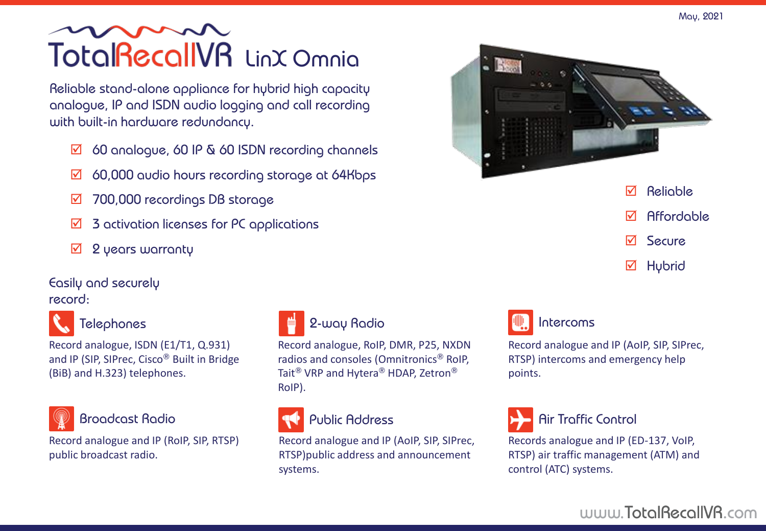Reliable stand-alone appliance for hybrid high capacity analogue, IP and ISDN audio logging and call recording with built-in hardware redundancy.

- 60 analogue, 60 IP & 60 ISDN recording channels
- $\boxtimes$  60,000 audio hours recording storage at 64Kbps
- **☑ 700,000 recordings DB storage**
- $\boxtimes$  3 activation licenses for PC applications
- $\boxtimes$  2 years warranty

### Easily and securely

record:



#### **Telephones**

Record analogue, ISDN (E1/T1, Q.931) and IP (SIP, SIPrec, Cisco® Built in Bridge (BiB) and H.323) telephones.



Record analogue and IP (RoIP, SIP, RTSP) public broadcast radio.



#### 2-way Radio

Record analogue, RoIP, DMR, P25, NXDN radios and consoles (Omnitronics® RoIP, Tait<sup>®</sup> VRP and Hytera<sup>®</sup> HDAP, Zetron<sup>®</sup> RoIP).

### Broadcast Radio **Public Address Air Traffic Control**

Record analogue and IP (AoIP, SIP, SIPrec, RTSP)public address and announcement systems.





Record analogue and IP (AoIP, SIP, SIPrec, RTSP) intercoms and emergency help



points.

Records analogue and IP (ED-137, VoIP, RTSP) air traffic management (ATM) and control (ATC) systems.

### www.TotalRecallVR.com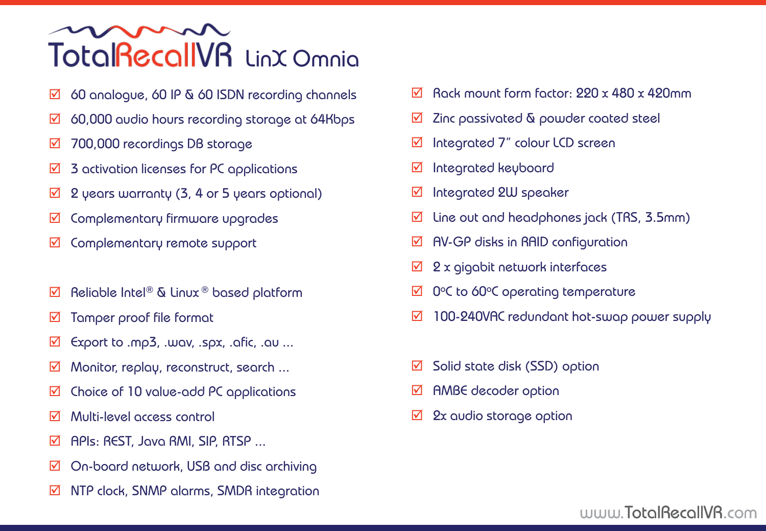- $\boxtimes$  60 analogue, 60 IP & 60 ISDN recording channels
- $\boxtimes$  60,000 audio hours recording storage at 64Kbps
- 700,000 recordings DB storage
- $\overline{2}$  3 activation licenses for PC applications
- $\boxtimes$  2 years warranty (3, 4 or 5 years optional)
- $\boxtimes$  Complementary firmware upgrades
- $\boxtimes$  Complementary remote support
- $\boxtimes$  Reliable Intel® & Linux ® based platform
- $\boxtimes$  Tamper proof file format
- $\boxtimes$  Export to .mp3, .wav, .spx, .afic, .au ...
- $\boxtimes$  Monitor, replay, reconstruct, search ...
- $\boxtimes$  Choice of 10 value-add PC applications
- Multi-level access control
- $\boxtimes$  APIs: REST, Java RMI, SIP, RTSP ...
- $\boxtimes$  On-board network, USB and disc archiving
- $\overline{\mathfrak{A}}$  NTP clock, SNMP alarms, SMDR integration
- $\overline{M}$  Rack mount form factor: 220 x 480 x 420mm
- $\overline{M}$  Zinc passivated  $\overline{\mathfrak{A}}$  powder coated steel
- $\boxtimes$  Integrated 7" colour LCD screen
- $\boxtimes$  Integrated keyboard
- $\boxtimes$  Integrated 2W speaker
- $\overline{M}$  Line out and headphones jack (TRS, 3.5mm)
- $\boxtimes$  AV-GP disks in RAID configuration
- $\boxtimes$  2 x gigabit network interfaces
- $\boxtimes$  0°C to 60°C operating temperature
- ◘ 100-240VAC redundant hot-swap power supply
- $\boxtimes$  Solid state disk (SSD) option
- $\boxtimes$  AMBE decoder option
- $\boxtimes$  2x audio storage option

### www.TotalRecallVR.com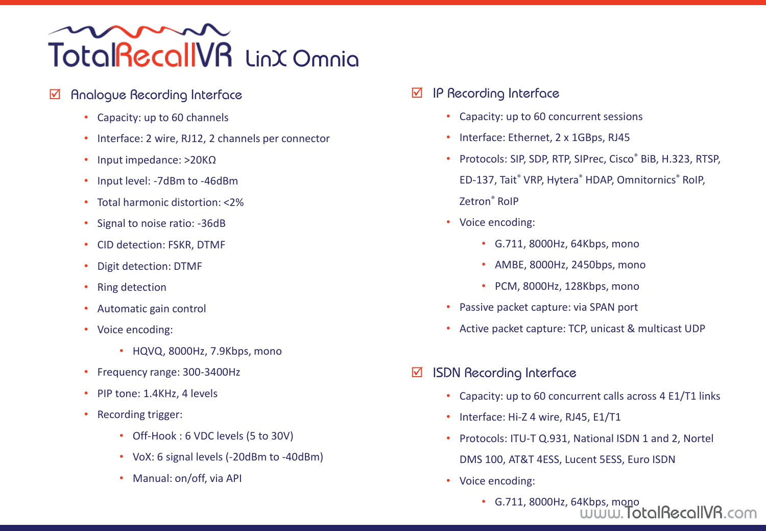#### Analogue Recording Interface

- Capacity: up to 60 channels
- Interface: 2 wire, RJ12, 2 channels per connector
- Input impedance: >20KΩ
- Input level: -7dBm to -46dBm
- Total harmonic distortion: <2%
- Signal to noise ratio: -36dB
- CID detection: FSKR, DTMF
- Digit detection: DTMF
- Ring detection
- Automatic gain control
- Voice encoding:
	- HQVQ, 8000Hz, 7.9Kbps, mono
- Frequency range: 300-3400Hz
- PIP tone: 1.4KHz, 4 levels
- Recording trigger:
	- Off-Hook : 6 VDC levels (5 to 30V)
	- VoX: 6 signal levels (-20dBm to -40dBm)
	- Manual: on/off, via API
- $\boxtimes$  IP Recording Interface
	- Capacity: up to 60 concurrent sessions
	- Interface: Ethernet, 2 x 1GBps, RJ45
	- Protocols: SIP, SDP, RTP, SIPrec, Cisco® BiB, H.323, RTSP,
	- ED-137, Tait® VRP, Hytera® HDAP, Omnitornics® RoIP,
	- Zetron® RoIP
	- Voice encoding:
		- G.711, 8000Hz, 64Kbps, mono
		- AMBE, 8000Hz, 2450bps, mono
		- PCM, 8000Hz, 128Kbps, mono
	- Passive packet capture: via SPAN port
	- Active packet capture: TCP, unicast & multicast UDP
- $\boxtimes$  ISDN Recording Interface
	- Capacity: up to 60 concurrent calls across 4 E1/T1 links
	- Interface: Hi-Z 4 wire, RJ45, E1/T1
	- Protocols: ITU-T Q.931, National ISDN 1 and 2, Nortel DMS 100, AT&T 4ESS, Lucent 5ESS, Euro ISDN
	- Voice encoding:
		- www.TotalRecallVR.com • G.711, 8000Hz, 64Kbps, mono